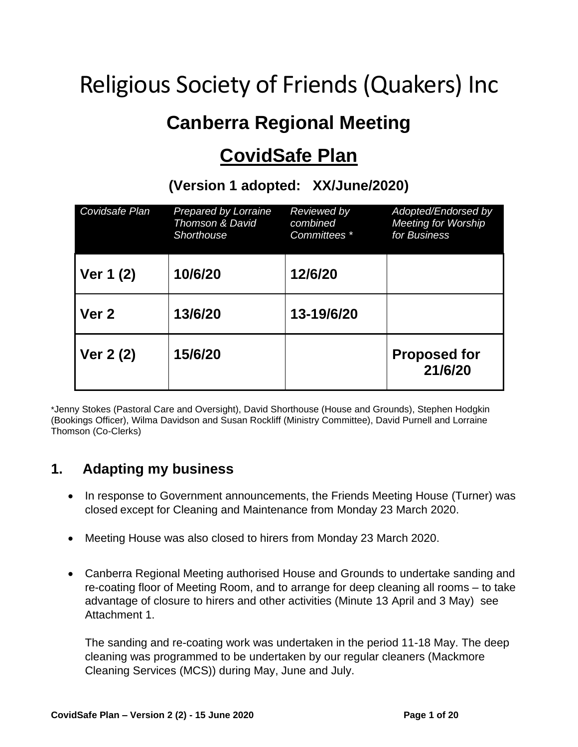# Religious Society of Friends (Quakers) Inc

# **Canberra Regional Meeting**

# **CovidSafe Plan**

| Covidsafe Plan   | <b>Prepared by Lorraine</b><br><b>Thomson &amp; David</b><br>Shorthouse | Reviewed by<br>combined<br>Committees * | Adopted/Endorsed by<br><b>Meeting for Worship</b><br>for Business |
|------------------|-------------------------------------------------------------------------|-----------------------------------------|-------------------------------------------------------------------|
| Ver 1 (2)        | 10/6/20                                                                 | 12/6/20                                 |                                                                   |
| Ver <sub>2</sub> | 13/6/20                                                                 | 13-19/6/20                              |                                                                   |
| Ver 2 (2)        | 15/6/20                                                                 |                                         | <b>Proposed for</b><br>21/6/20                                    |

**(Version 1 adopted: XX/June/2020)**

\*Jenny Stokes (Pastoral Care and Oversight), David Shorthouse (House and Grounds), Stephen Hodgkin (Bookings Officer), Wilma Davidson and Susan Rockliff (Ministry Committee), David Purnell and Lorraine Thomson (Co-Clerks)

### **1. Adapting my business**

- In response to Government announcements, the Friends Meeting House (Turner) was closed except for Cleaning and Maintenance from Monday 23 March 2020.
- Meeting House was also closed to hirers from Monday 23 March 2020.
- Canberra Regional Meeting authorised House and Grounds to undertake sanding and re-coating floor of Meeting Room, and to arrange for deep cleaning all rooms – to take advantage of closure to hirers and other activities (Minute 13 April and 3 May) see Attachment 1.

The sanding and re-coating work was undertaken in the period 11-18 May. The deep cleaning was programmed to be undertaken by our regular cleaners (Mackmore Cleaning Services (MCS)) during May, June and July.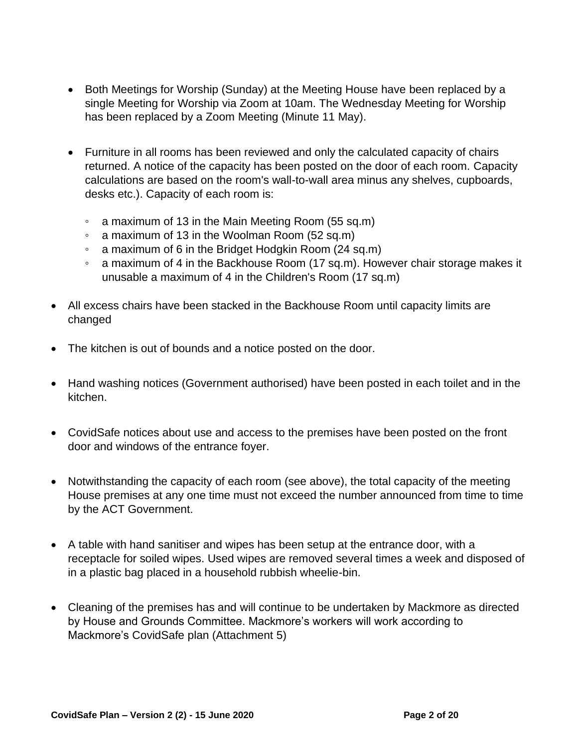- Both Meetings for Worship (Sunday) at the Meeting House have been replaced by a single Meeting for Worship via Zoom at 10am. The Wednesday Meeting for Worship has been replaced by a Zoom Meeting (Minute 11 May).
- Furniture in all rooms has been reviewed and only the calculated capacity of chairs returned. A notice of the capacity has been posted on the door of each room. Capacity calculations are based on the room's wall-to-wall area minus any shelves, cupboards, desks etc.). Capacity of each room is:
	- a maximum of 13 in the Main Meeting Room (55 sq.m)
	- a maximum of 13 in the Woolman Room (52 sq.m)
	- a maximum of 6 in the Bridget Hodgkin Room (24 sq.m)
	- a maximum of 4 in the Backhouse Room (17 sq.m). However chair storage makes it unusable a maximum of 4 in the Children's Room (17 sq.m)
- All excess chairs have been stacked in the Backhouse Room until capacity limits are changed
- The kitchen is out of bounds and a notice posted on the door.
- Hand washing notices (Government authorised) have been posted in each toilet and in the kitchen.
- CovidSafe notices about use and access to the premises have been posted on the front door and windows of the entrance foyer.
- Notwithstanding the capacity of each room (see above), the total capacity of the meeting House premises at any one time must not exceed the number announced from time to time by the ACT Government.
- A table with hand sanitiser and wipes has been setup at the entrance door, with a receptacle for soiled wipes. Used wipes are removed several times a week and disposed of in a plastic bag placed in a household rubbish wheelie-bin.
- Cleaning of the premises has and will continue to be undertaken by Mackmore as directed by House and Grounds Committee. Mackmore's workers will work according to Mackmore's CovidSafe plan (Attachment 5)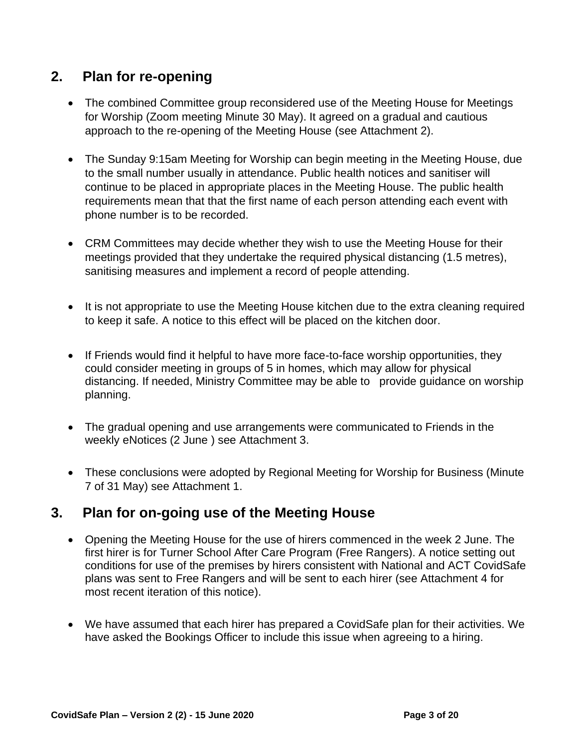# **2. Plan for re-opening**

- The combined Committee group reconsidered use of the Meeting House for Meetings for Worship (Zoom meeting Minute 30 May). It agreed on a gradual and cautious approach to the re-opening of the Meeting House (see Attachment 2).
- The Sunday 9:15am Meeting for Worship can begin meeting in the Meeting House, due to the small number usually in attendance. Public health notices and sanitiser will continue to be placed in appropriate places in the Meeting House. The public health requirements mean that that the first name of each person attending each event with phone number is to be recorded.
- CRM Committees may decide whether they wish to use the Meeting House for their meetings provided that they undertake the required physical distancing (1.5 metres), sanitising measures and implement a record of people attending.
- It is not appropriate to use the Meeting House kitchen due to the extra cleaning required to keep it safe. A notice to this effect will be placed on the kitchen door.
- If Friends would find it helpful to have more face-to-face worship opportunities, they could consider meeting in groups of 5 in homes, which may allow for physical distancing. If needed, Ministry Committee may be able to provide guidance on worship planning.
- The gradual opening and use arrangements were communicated to Friends in the weekly eNotices (2 June ) see Attachment 3.
- These conclusions were adopted by Regional Meeting for Worship for Business (Minute 7 of 31 May) see Attachment 1.

### **3. Plan for on-going use of the Meeting House**

- Opening the Meeting House for the use of hirers commenced in the week 2 June. The first hirer is for Turner School After Care Program (Free Rangers). A notice setting out conditions for use of the premises by hirers consistent with National and ACT CovidSafe plans was sent to Free Rangers and will be sent to each hirer (see Attachment 4 for most recent iteration of this notice).
- We have assumed that each hirer has prepared a CovidSafe plan for their activities. We have asked the Bookings Officer to include this issue when agreeing to a hiring.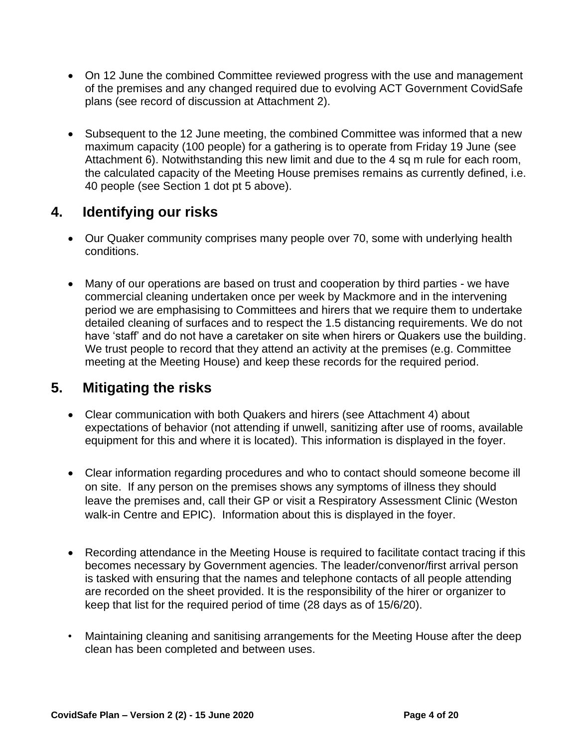- On 12 June the combined Committee reviewed progress with the use and management of the premises and any changed required due to evolving ACT Government CovidSafe plans (see record of discussion at Attachment 2).
- Subsequent to the 12 June meeting, the combined Committee was informed that a new maximum capacity (100 people) for a gathering is to operate from Friday 19 June (see Attachment 6). Notwithstanding this new limit and due to the 4 sq m rule for each room, the calculated capacity of the Meeting House premises remains as currently defined, i.e. 40 people (see Section 1 dot pt 5 above).

### **4. Identifying our risks**

- Our Quaker community comprises many people over 70, some with underlying health conditions.
- Many of our operations are based on trust and cooperation by third parties we have commercial cleaning undertaken once per week by Mackmore and in the intervening period we are emphasising to Committees and hirers that we require them to undertake detailed cleaning of surfaces and to respect the 1.5 distancing requirements. We do not have 'staff' and do not have a caretaker on site when hirers or Quakers use the building. We trust people to record that they attend an activity at the premises (e.g. Committee meeting at the Meeting House) and keep these records for the required period.

# **5. Mitigating the risks**

- Clear communication with both Quakers and hirers (see Attachment 4) about expectations of behavior (not attending if unwell, sanitizing after use of rooms, available equipment for this and where it is located). This information is displayed in the foyer.
- Clear information regarding procedures and who to contact should someone become ill on site. If any person on the premises shows any symptoms of illness they should leave the premises and, call their GP or visit a [Respiratory Assessment Clinic](https://www.covid19.act.gov.au/protecting-yourself-and-others/getting-tested/_recache#Respiratory-Assessment-Clinics-in-the-ACT-are-located-at-) (Weston walk-in Centre and EPIC). Information about this is displayed in the foyer.
- Recording attendance in the Meeting House is required to facilitate contact tracing if this becomes necessary by Government agencies. The leader/convenor/first arrival person is tasked with ensuring that the names and telephone contacts of all people attending are recorded on the sheet provided. It is the responsibility of the hirer or organizer to keep that list for the required period of time (28 days as of 15/6/20).
- Maintaining cleaning and sanitising arrangements for the Meeting House after the deep clean has been completed and between uses.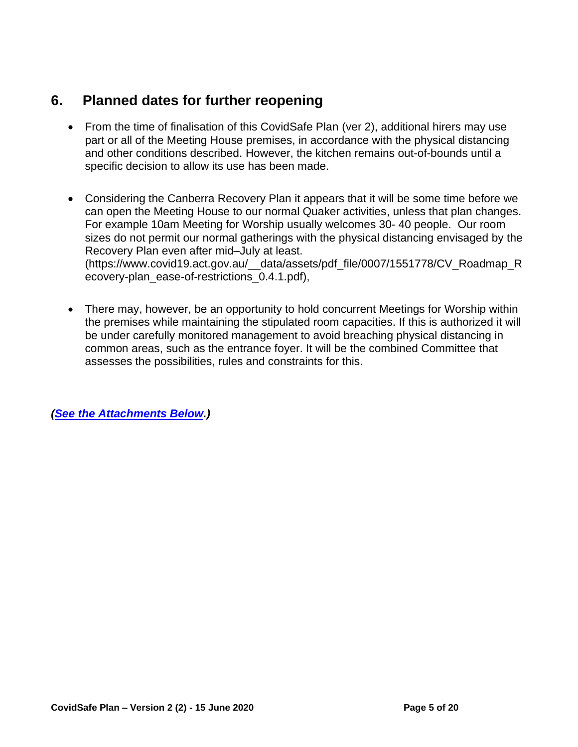# **6. Planned dates for further reopening**

- From the time of finalisation of this CovidSafe Plan (ver 2), additional hirers may use part or all of the Meeting House premises, in accordance with the physical distancing and other conditions described. However, the kitchen remains out-of-bounds until a specific decision to allow its use has been made.
- Considering the Canberra Recovery Plan it appears that it will be some time before we can open the Meeting House to our normal Quaker activities, unless that plan changes. For example 10am Meeting for Worship usually welcomes 30- 40 people. Our room sizes do not permit our normal gatherings with the physical distancing envisaged by the Recovery Plan even after mid–July at least. (https://www.covid19.act.gov.au/\_\_data/assets/pdf\_file/0007/1551778/CV\_Roadmap\_R ecovery-plan\_ease-of-restrictions\_0.4.1.pdf),
- There may, however, be an opportunity to hold concurrent Meetings for Worship within the premises while maintaining the stipulated room capacities. If this is authorized it will be under carefully monitored management to avoid breaching physical distancing in common areas, such as the entrance foyer. It will be the combined Committee that assesses the possibilities, rules and constraints for this.

*[\(See the Attachments Below.](#page-8-0))*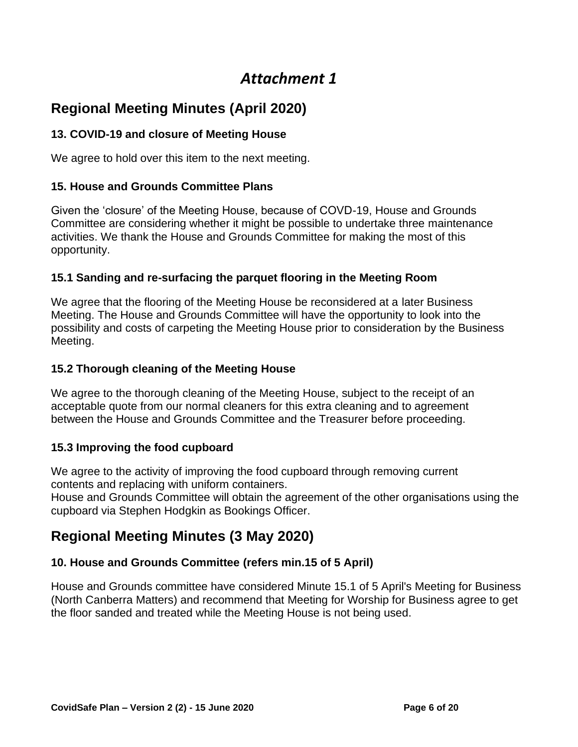# **Regional Meeting Minutes (April 2020)**

#### **13. COVID-19 and closure of Meeting House**

We agree to hold over this item to the next meeting.

#### **15. House and Grounds Committee Plans**

Given the 'closure' of the Meeting House, because of COVD-19, House and Grounds Committee are considering whether it might be possible to undertake three maintenance activities. We thank the House and Grounds Committee for making the most of this opportunity.

#### **15.1 Sanding and re-surfacing the parquet flooring in the Meeting Room**

We agree that the flooring of the Meeting House be reconsidered at a later Business Meeting. The House and Grounds Committee will have the opportunity to look into the possibility and costs of carpeting the Meeting House prior to consideration by the Business Meeting.

#### **15.2 Thorough cleaning of the Meeting House**

We agree to the thorough cleaning of the Meeting House, subject to the receipt of an acceptable quote from our normal cleaners for this extra cleaning and to agreement between the House and Grounds Committee and the Treasurer before proceeding.

#### **15.3 Improving the food cupboard**

We agree to the activity of improving the food cupboard through removing current contents and replacing with uniform containers.

House and Grounds Committee will obtain the agreement of the other organisations using the cupboard via Stephen Hodgkin as Bookings Officer.

# **Regional Meeting Minutes (3 May 2020)**

#### **10. House and Grounds Committee (refers min.15 of 5 April)**

House and Grounds committee have considered Minute 15.1 of 5 April's Meeting for Business (North Canberra Matters) and recommend that Meeting for Worship for Business agree to get the floor sanded and treated while the Meeting House is not being used.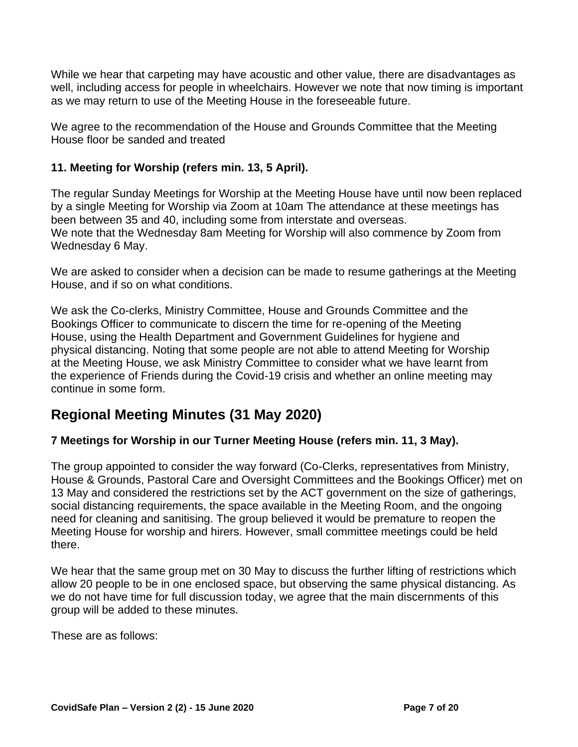While we hear that carpeting may have acoustic and other value, there are disadvantages as well, including access for people in wheelchairs. However we note that now timing is important as we may return to use of the Meeting House in the foreseeable future.

We agree to the recommendation of the House and Grounds Committee that the Meeting House floor be sanded and treated

#### **11. Meeting for Worship (refers min. 13, 5 April).**

The regular Sunday Meetings for Worship at the Meeting House have until now been replaced by a single Meeting for Worship via Zoom at 10am The attendance at these meetings has been between 35 and 40, including some from interstate and overseas. We note that the Wednesday 8am Meeting for Worship will also commence by Zoom from Wednesday 6 May.

We are asked to consider when a decision can be made to resume gatherings at the Meeting House, and if so on what conditions.

We ask the Co-clerks, Ministry Committee, House and Grounds Committee and the Bookings Officer to communicate to discern the time for re-opening of the Meeting House, using the Health Department and Government Guidelines for hygiene and physical distancing. Noting that some people are not able to attend Meeting for Worship at the Meeting House, we ask Ministry Committee to consider what we have learnt from the experience of Friends during the Covid-19 crisis and whether an online meeting may continue in some form.

# **Regional Meeting Minutes (31 May 2020)**

#### **7 Meetings for Worship in our Turner Meeting House (refers min. 11, 3 May).**

The group appointed to consider the way forward (Co-Clerks, representatives from Ministry, House & Grounds, Pastoral Care and Oversight Committees and the Bookings Officer) met on 13 May and considered the restrictions set by the ACT government on the size of gatherings, social distancing requirements, the space available in the Meeting Room, and the ongoing need for cleaning and sanitising. The group believed it would be premature to reopen the Meeting House for worship and hirers. However, small committee meetings could be held there.

We hear that the same group met on 30 May to discuss the further lifting of restrictions which allow 20 people to be in one enclosed space, but observing the same physical distancing. As we do not have time for full discussion today, we agree that the main discernments of this group will be added to these minutes.

These are as follows: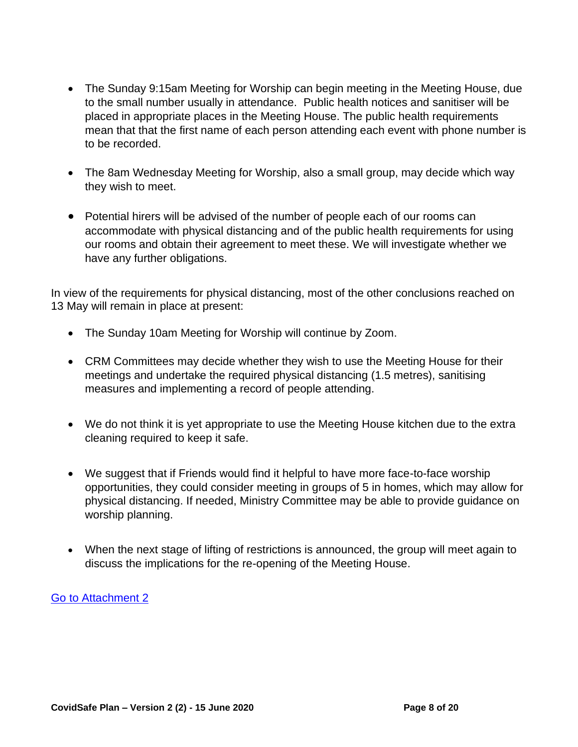- The Sunday 9:15am Meeting for Worship can begin meeting in the Meeting House, due to the small number usually in attendance. Public health notices and sanitiser will be placed in appropriate places in the Meeting House. The public health requirements mean that that the first name of each person attending each event with phone number is to be recorded.
- The 8am Wednesday Meeting for Worship, also a small group, may decide which way they wish to meet.
- Potential hirers will be advised of the number of people each of our rooms can accommodate with physical distancing and of the public health requirements for using our rooms and obtain their agreement to meet these. We will investigate whether we have any further obligations.

In view of the requirements for physical distancing, most of the other conclusions reached on 13 May will remain in place at present:

- The Sunday 10am Meeting for Worship will continue by Zoom.
- CRM Committees may decide whether they wish to use the Meeting House for their meetings and undertake the required physical distancing (1.5 metres), sanitising measures and implementing a record of people attending.
- We do not think it is yet appropriate to use the Meeting House kitchen due to the extra cleaning required to keep it safe.
- We suggest that if Friends would find it helpful to have more face-to-face worship opportunities, they could consider meeting in groups of 5 in homes, which may allow for physical distancing. If needed, Ministry Committee may be able to provide guidance on worship planning.
- When the next stage of lifting of restrictions is announced, the group will meet again to discuss the implications for the re-opening of the Meeting House.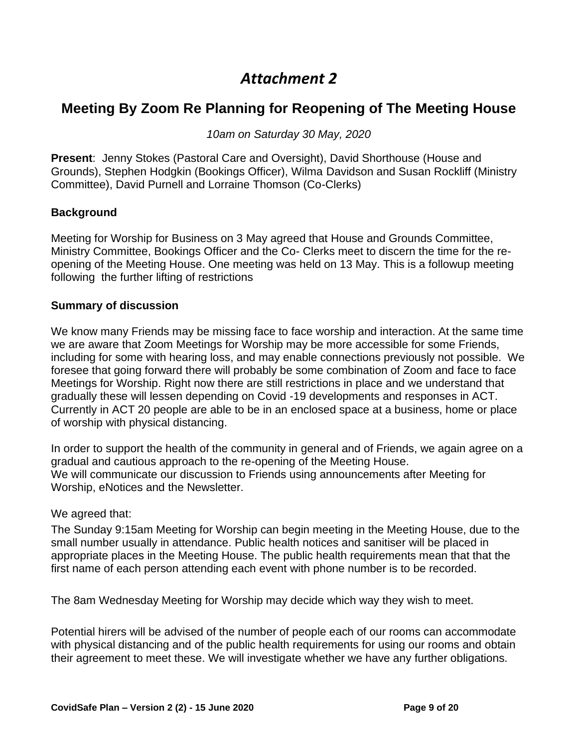### <span id="page-8-0"></span>**Meeting By Zoom Re Planning for Reopening of The Meeting House**

*10am on Saturday 30 May, 2020*

**Present**: Jenny Stokes (Pastoral Care and Oversight), David Shorthouse (House and Grounds), Stephen Hodgkin (Bookings Officer), Wilma Davidson and Susan Rockliff (Ministry Committee), David Purnell and Lorraine Thomson (Co-Clerks)

#### **Background**

Meeting for Worship for Business on 3 May agreed that House and Grounds Committee, Ministry Committee, Bookings Officer and the Co- Clerks meet to discern the time for the reopening of the Meeting House. One meeting was held on 13 May. This is a followup meeting following the further lifting of restrictions

#### **Summary of discussion**

We know many Friends may be missing face to face worship and interaction. At the same time we are aware that Zoom Meetings for Worship may be more accessible for some Friends, including for some with hearing loss, and may enable connections previously not possible. We foresee that going forward there will probably be some combination of Zoom and face to face Meetings for Worship. Right now there are still restrictions in place and we understand that gradually these will lessen depending on Covid -19 developments and responses in ACT. Currently in ACT 20 people are able to be in an enclosed space at a business, home or place of worship with physical distancing.

In order to support the health of the community in general and of Friends, we again agree on a gradual and cautious approach to the re-opening of the Meeting House. We will communicate our discussion to Friends using announcements after Meeting for Worship, eNotices and the Newsletter.

#### We agreed that:

The Sunday 9:15am Meeting for Worship can begin meeting in the Meeting House, due to the small number usually in attendance. Public health notices and sanitiser will be placed in appropriate places in the Meeting House. The public health requirements mean that that the first name of each person attending each event with phone number is to be recorded.

The 8am Wednesday Meeting for Worship may decide which way they wish to meet.

Potential hirers will be advised of the number of people each of our rooms can accommodate with physical distancing and of the public health requirements for using our rooms and obtain their agreement to meet these. We will investigate whether we have any further obligations.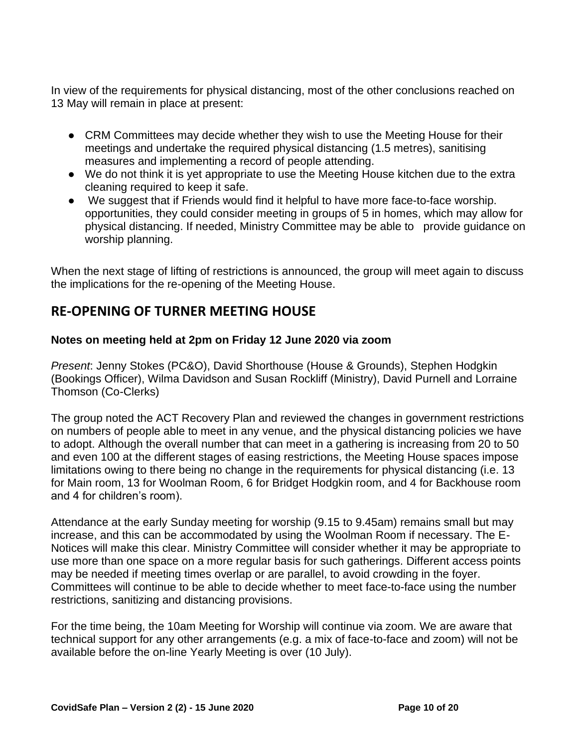In view of the requirements for physical distancing, most of the other conclusions reached on 13 May will remain in place at present:

- CRM Committees may decide whether they wish to use the Meeting House for their meetings and undertake the required physical distancing (1.5 metres), sanitising measures and implementing a record of people attending.
- We do not think it is yet appropriate to use the Meeting House kitchen due to the extra cleaning required to keep it safe.
- We suggest that if Friends would find it helpful to have more face-to-face worship. opportunities, they could consider meeting in groups of 5 in homes, which may allow for physical distancing. If needed, Ministry Committee may be able to provide guidance on worship planning.

When the next stage of lifting of restrictions is announced, the group will meet again to discuss the implications for the re-opening of the Meeting House.

### **RE-OPENING OF TURNER MEETING HOUSE**

#### **Notes on meeting held at 2pm on Friday 12 June 2020 via zoom**

*Present*: Jenny Stokes (PC&O), David Shorthouse (House & Grounds), Stephen Hodgkin (Bookings Officer), Wilma Davidson and Susan Rockliff (Ministry), David Purnell and Lorraine Thomson (Co-Clerks)

The group noted the ACT Recovery Plan and reviewed the changes in government restrictions on numbers of people able to meet in any venue, and the physical distancing policies we have to adopt. Although the overall number that can meet in a gathering is increasing from 20 to 50 and even 100 at the different stages of easing restrictions, the Meeting House spaces impose limitations owing to there being no change in the requirements for physical distancing (i.e. 13 for Main room, 13 for Woolman Room, 6 for Bridget Hodgkin room, and 4 for Backhouse room and 4 for children's room).

Attendance at the early Sunday meeting for worship (9.15 to 9.45am) remains small but may increase, and this can be accommodated by using the Woolman Room if necessary. The E-Notices will make this clear. Ministry Committee will consider whether it may be appropriate to use more than one space on a more regular basis for such gatherings. Different access points may be needed if meeting times overlap or are parallel, to avoid crowding in the foyer. Committees will continue to be able to decide whether to meet face-to-face using the number restrictions, sanitizing and distancing provisions.

For the time being, the 10am Meeting for Worship will continue via zoom. We are aware that technical support for any other arrangements (e.g. a mix of face-to-face and zoom) will not be available before the on-line Yearly Meeting is over (10 July).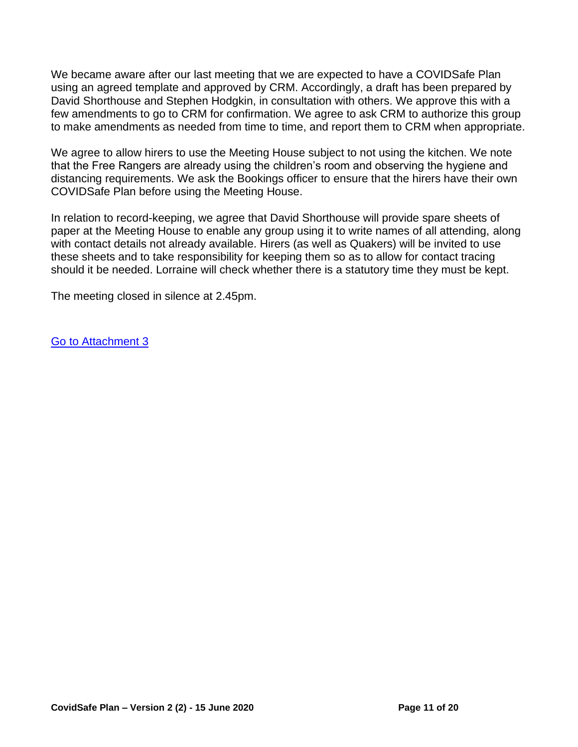We became aware after our last meeting that we are expected to have a COVIDSafe Plan using an agreed template and approved by CRM. Accordingly, a draft has been prepared by David Shorthouse and Stephen Hodgkin, in consultation with others. We approve this with a few amendments to go to CRM for confirmation. We agree to ask CRM to authorize this group to make amendments as needed from time to time, and report them to CRM when appropriate.

We agree to allow hirers to use the Meeting House subject to not using the kitchen. We note that the Free Rangers are already using the children's room and observing the hygiene and distancing requirements. We ask the Bookings officer to ensure that the hirers have their own COVIDSafe Plan before using the Meeting House.

In relation to record-keeping, we agree that David Shorthouse will provide spare sheets of paper at the Meeting House to enable any group using it to write names of all attending, along with contact details not already available. Hirers (as well as Quakers) will be invited to use these sheets and to take responsibility for keeping them so as to allow for contact tracing should it be needed. Lorraine will check whether there is a statutory time they must be kept.

The meeting closed in silence at 2.45pm.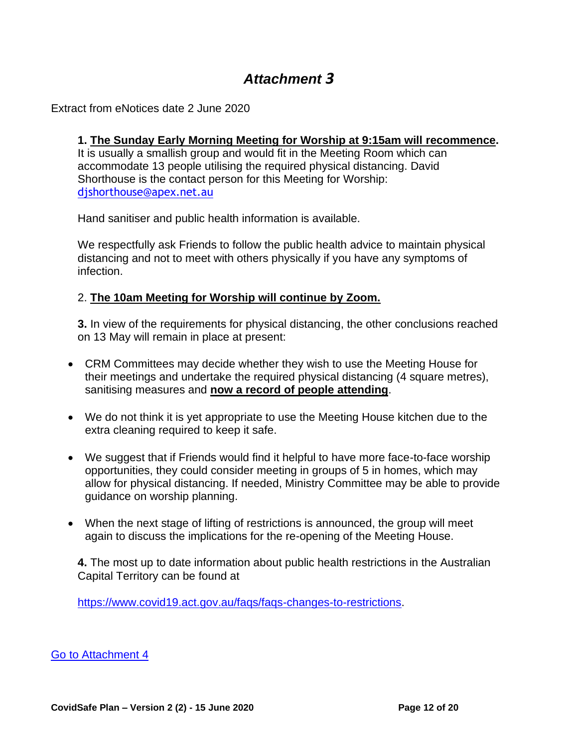<span id="page-11-0"></span>Extract from eNotices date 2 June 2020

#### **1. The Sunday Early Morning Meeting for Worship at 9:15am will recommence.**

It is usually a smallish group and would fit in the Meeting Room which can accommodate 13 people utilising the required physical distancing. David Shorthouse is the contact person for this Meeting for Worship: [djshorthouse@apex.net.au](file:///C:/Users/Lorraine/Downloads/djshorthouse@apex.net.au)

Hand sanitiser and public health information is available.

We respectfully ask Friends to follow the public health advice to maintain physical distancing and not to meet with others physically if you have any symptoms of infection.

#### 2. **The 10am Meeting for Worship will continue by Zoom.**

**3.** In view of the requirements for physical distancing, the other conclusions reached on 13 May will remain in place at present:

- CRM Committees may decide whether they wish to use the Meeting House for their meetings and undertake the required physical distancing (4 square metres), sanitising measures and **now a record of people attending**.
- We do not think it is yet appropriate to use the Meeting House kitchen due to the extra cleaning required to keep it safe.
- We suggest that if Friends would find it helpful to have more face-to-face worship opportunities, they could consider meeting in groups of 5 in homes, which may allow for physical distancing. If needed, Ministry Committee may be able to provide guidance on worship planning.
- When the next stage of lifting of restrictions is announced, the group will meet again to discuss the implications for the re-opening of the Meeting House.

**4.** The most up to date information about public health restrictions in the Australian Capital Territory can be found at

[https://www.covid19.act.gov.au/faqs/faqs-changes-to-restrictions.](https://www.covid19.act.gov.au/faqs/faqs-changes-to-restrictions)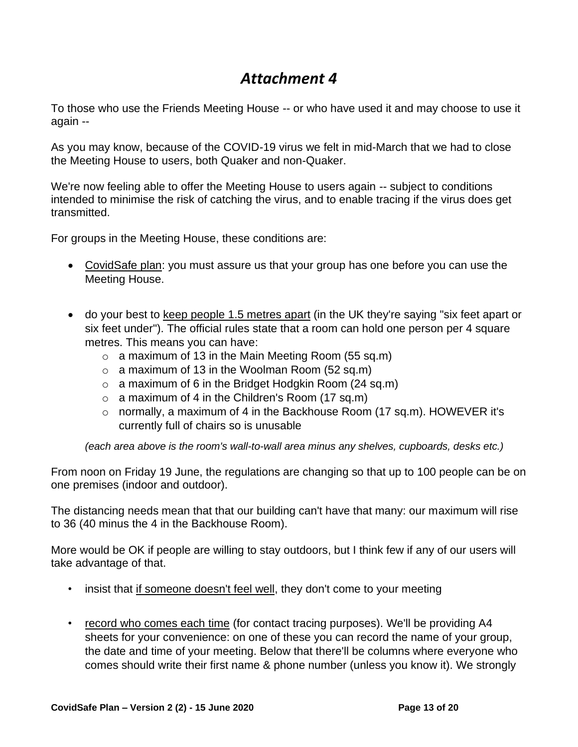<span id="page-12-0"></span>To those who use the Friends Meeting House -- or who have used it and may choose to use it again --

As you may know, because of the COVID-19 virus we felt in mid-March that we had to close the Meeting House to users, both Quaker and non-Quaker.

We're now feeling able to offer the Meeting House to users again -- subject to conditions intended to minimise the risk of catching the virus, and to enable tracing if the virus does get transmitted.

For groups in the Meeting House, these conditions are:

- CovidSafe plan: you must assure us that your group has one before you can use the Meeting House.
- do your best to keep people 1.5 metres apart (in the UK they're saying "six feet apart or six feet under"). The official rules state that a room can hold one person per 4 square metres. This means you can have:
	- $\circ$  a maximum of 13 in the Main Meeting Room (55 sq.m)
	- $\circ$  a maximum of 13 in the Woolman Room (52 sq.m)
	- $\circ$  a maximum of 6 in the Bridget Hodgkin Room (24 sq.m)
	- $\circ$  a maximum of 4 in the Children's Room (17 sq.m)
	- o normally, a maximum of 4 in the Backhouse Room (17 sq.m). HOWEVER it's currently full of chairs so is unusable

*(each area above is the room's wall-to-wall area minus any shelves, cupboards, desks etc.)*

From noon on Friday 19 June, the regulations are changing so that up to 100 people can be on one premises (indoor and outdoor).

The distancing needs mean that that our building can't have that many: our maximum will rise to 36 (40 minus the 4 in the Backhouse Room).

More would be OK if people are willing to stay outdoors, but I think few if any of our users will take advantage of that.

- insist that if someone doesn't feel well, they don't come to your meeting
- record who comes each time (for contact tracing purposes). We'll be providing A4 sheets for your convenience: on one of these you can record the name of your group, the date and time of your meeting. Below that there'll be columns where everyone who comes should write their first name & phone number (unless you know it). We strongly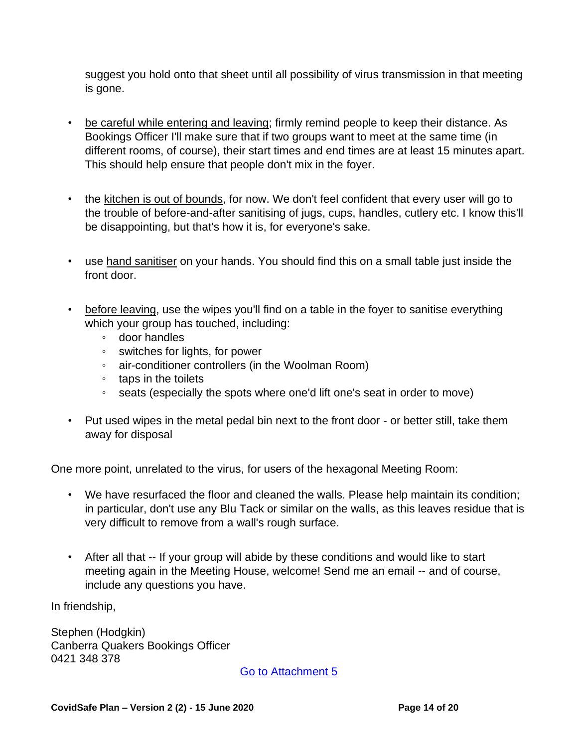suggest you hold onto that sheet until all possibility of virus transmission in that meeting is gone.

- be careful while entering and leaving; firmly remind people to keep their distance. As Bookings Officer I'll make sure that if two groups want to meet at the same time (in different rooms, of course), their start times and end times are at least 15 minutes apart. This should help ensure that people don't mix in the foyer.
- the kitchen is out of bounds, for now. We don't feel confident that every user will go to the trouble of before-and-after sanitising of jugs, cups, handles, cutlery etc. I know this'll be disappointing, but that's how it is, for everyone's sake.
- use hand sanitiser on your hands. You should find this on a small table just inside the front door.
- before leaving, use the wipes you'll find on a table in the foyer to sanitise everything which your group has touched, including:
	- door handles
	- switches for lights, for power
	- air-conditioner controllers (in the Woolman Room)
	- taps in the toilets
	- seats (especially the spots where one'd lift one's seat in order to move)
- Put used wipes in the metal pedal bin next to the front door or better still, take them away for disposal

One more point, unrelated to the virus, for users of the hexagonal Meeting Room:

- We have resurfaced the floor and cleaned the walls. Please help maintain its condition; in particular, don't use any Blu Tack or similar on the walls, as this leaves residue that is very difficult to remove from a wall's rough surface.
- After all that -- If your group will abide by these conditions and would like to start meeting again in the Meeting House, welcome! Send me an email -- and of course, include any questions you have.

In friendship,

Stephen (Hodgkin) Canberra Quakers Bookings Officer 0421 348 378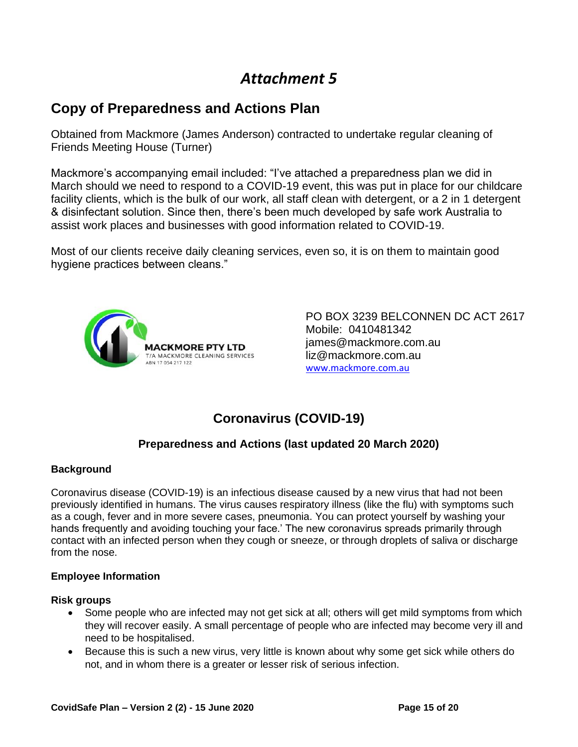# <span id="page-14-0"></span>**Copy of Preparedness and Actions Plan**

Obtained from Mackmore (James Anderson) contracted to undertake regular cleaning of Friends Meeting House (Turner)

Mackmore's accompanying email included: "I've attached a preparedness plan we did in March should we need to respond to a COVID-19 event, this was put in place for our childcare facility clients, which is the bulk of our work, all staff clean with detergent, or a 2 in 1 detergent & disinfectant solution. Since then, there's been much developed by safe work Australia to assist work places and businesses with good information related to COVID-19.

Most of our clients receive daily cleaning services, even so, it is on them to maintain good hygiene practices between cleans."



PO BOX 3239 BELCONNEN DC ACT 2617 Mobile: 0410481342 james@mackmore.com.au liz@mackmore.com.au [www.mackmore.com.au](http://www.mackmore.com.au/)

# **Coronavirus (COVID-19)**

#### **Preparedness and Actions (last updated 20 March 2020)**

#### **Background**

Coronavirus disease (COVID-19) is an infectious disease caused by a new virus that had not been previously identified in humans. The virus causes respiratory illness (like the flu) with symptoms such as a cough, fever and in more severe cases, pneumonia. You can protect yourself by washing your hands frequently and avoiding touching your face.' The new coronavirus spreads primarily through contact with an infected person when they cough or sneeze, or through droplets of saliva or discharge from the nose.

#### **Employee Information**

#### **Risk groups**

- Some people who are infected may not get sick at all; others will get mild symptoms from which they will recover easily. A small percentage of people who are infected may become very ill and need to be hospitalised.
- Because this is such a new virus, very little is known about why some get sick while others do not, and in whom there is a greater or lesser risk of serious infection.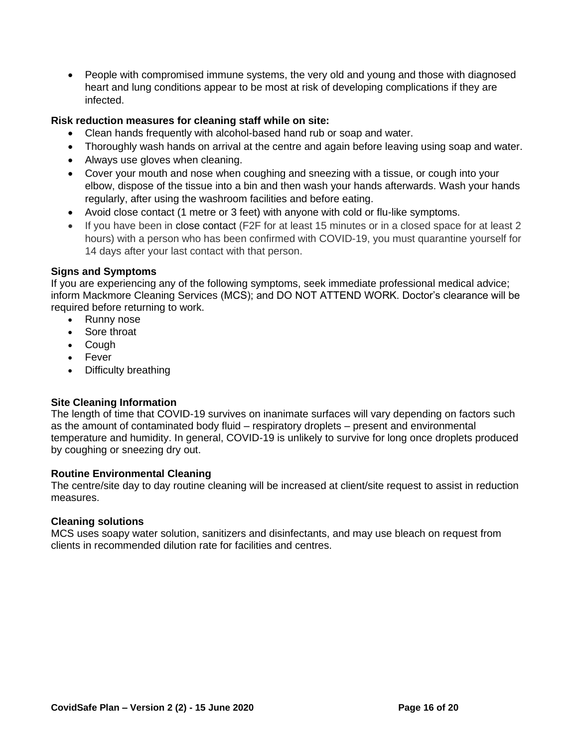• People with compromised immune systems, the very old and young and those with diagnosed heart and lung conditions appear to be most at risk of developing complications if they are infected.

#### **Risk reduction measures for cleaning staff while on site:**

- Clean hands frequently with alcohol-based hand rub or soap and water.
- Thoroughly wash hands on arrival at the centre and again before leaving using soap and water.
- Always use gloves when cleaning.
- Cover your mouth and nose when coughing and sneezing with a tissue, or cough into your elbow, dispose of the tissue into a bin and then wash your hands afterwards. Wash your hands regularly, after using the washroom facilities and before eating.
- Avoid close contact (1 metre or 3 feet) with anyone with cold or flu-like symptoms.
- If you have been in [close contact](http://health.act.gov.au/sites/default/files/2020-03/COVID-19%20Information%20for%20Close%20Contacts_06032020.pdf) (F2F for at least 15 minutes or in a closed space for at least 2 hours) with a person who has been confirmed with COVID-19, you must quarantine yourself for 14 days after your last contact with that person.

#### **Signs and Symptoms**

If you are experiencing any of the following symptoms, seek immediate professional medical advice; inform Mackmore Cleaning Services (MCS); and DO NOT ATTEND WORK. Doctor's clearance will be required before returning to work.

- Runny nose
- Sore throat
- Cough
- Fever
- Difficulty breathing

#### **Site Cleaning Information**

The length of time that COVID-19 survives on inanimate surfaces will vary depending on factors such as the amount of contaminated body fluid – respiratory droplets – present and environmental temperature and humidity. In general, COVID-19 is unlikely to survive for long once droplets produced by coughing or sneezing dry out.

#### **Routine Environmental Cleaning**

The centre/site day to day routine cleaning will be increased at client/site request to assist in reduction measures.

#### **Cleaning solutions**

MCS uses soapy water solution, sanitizers and disinfectants, and may use bleach on request from clients in recommended dilution rate for facilities and centres.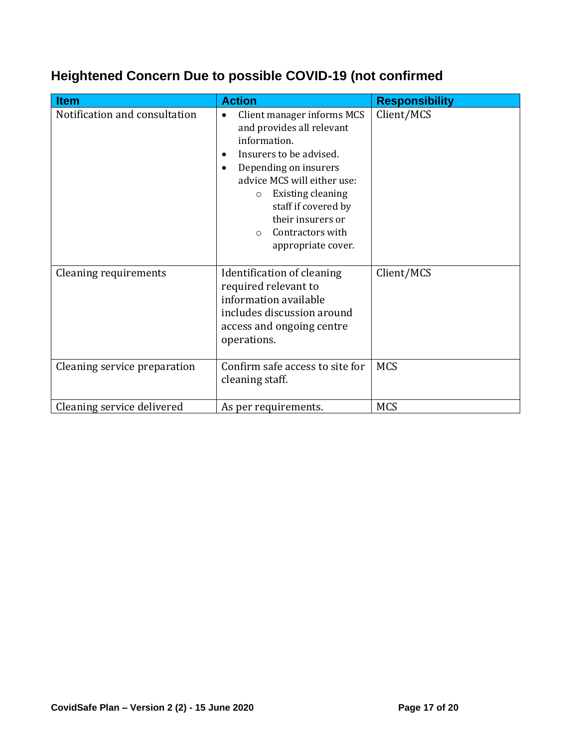# **Heightened Concern Due to possible COVID-19 (not confirmed**

| <b>Item</b>                   | <b>Action</b>                                                                                                                                                                                                                                                                                                                             | <b>Responsibility</b> |
|-------------------------------|-------------------------------------------------------------------------------------------------------------------------------------------------------------------------------------------------------------------------------------------------------------------------------------------------------------------------------------------|-----------------------|
| Notification and consultation | Client manager informs MCS<br>$\bullet$<br>and provides all relevant<br>information.<br>Insurers to be advised.<br>$\bullet$<br>Depending on insurers<br>$\bullet$<br>advice MCS will either use:<br><b>Existing cleaning</b><br>$\circ$<br>staff if covered by<br>their insurers or<br>Contractors with<br>$\circ$<br>appropriate cover. | Client/MCS            |
| Cleaning requirements         | Identification of cleaning<br>required relevant to<br>information available<br>includes discussion around<br>access and ongoing centre<br>operations.                                                                                                                                                                                     | Client/MCS            |
| Cleaning service preparation  | Confirm safe access to site for<br>cleaning staff.                                                                                                                                                                                                                                                                                        | <b>MCS</b>            |
| Cleaning service delivered    | As per requirements.                                                                                                                                                                                                                                                                                                                      | <b>MCS</b>            |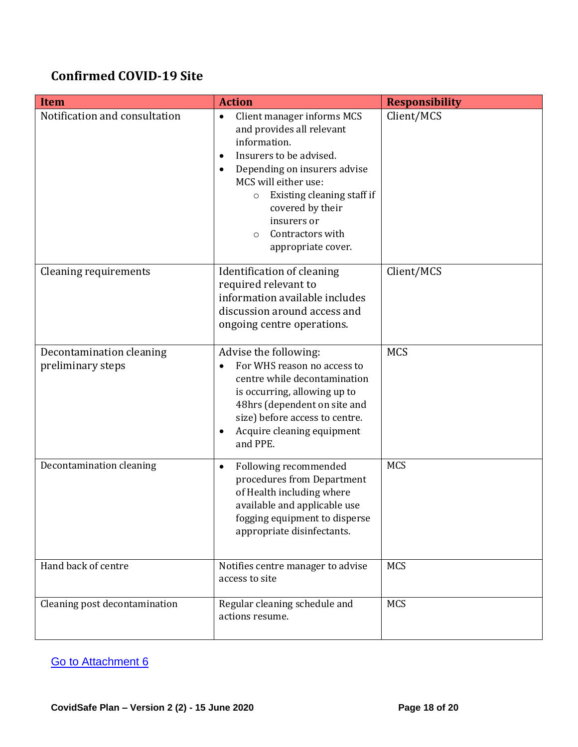# **Confirmed COVID-19 Site**

| <b>Item</b>                                   | <b>Action</b>                                                                                                                                                                                                                                                                                                                       | <b>Responsibility</b> |
|-----------------------------------------------|-------------------------------------------------------------------------------------------------------------------------------------------------------------------------------------------------------------------------------------------------------------------------------------------------------------------------------------|-----------------------|
| Notification and consultation                 | Client manager informs MCS<br>$\bullet$<br>and provides all relevant<br>information.<br>Insurers to be advised.<br>$\bullet$<br>Depending on insurers advise<br>$\bullet$<br>MCS will either use:<br>Existing cleaning staff if<br>$\circ$<br>covered by their<br>insurers or<br>Contractors with<br>$\Omega$<br>appropriate cover. | Client/MCS            |
| Cleaning requirements                         | Identification of cleaning<br>required relevant to<br>information available includes<br>discussion around access and<br>ongoing centre operations.                                                                                                                                                                                  | Client/MCS            |
| Decontamination cleaning<br>preliminary steps | Advise the following:<br>For WHS reason no access to<br>centre while decontamination<br>is occurring, allowing up to<br>48hrs (dependent on site and<br>size) before access to centre.<br>Acquire cleaning equipment<br>$\bullet$<br>and PPE.                                                                                       | <b>MCS</b>            |
| Decontamination cleaning                      | Following recommended<br>$\bullet$<br>procedures from Department<br>of Health including where<br>available and applicable use<br>fogging equipment to disperse<br>appropriate disinfectants.                                                                                                                                        | <b>MCS</b>            |
| Hand back of centre                           | Notifies centre manager to advise<br>access to site                                                                                                                                                                                                                                                                                 | <b>MCS</b>            |
| Cleaning post decontamination                 | Regular cleaning schedule and<br>actions resume.                                                                                                                                                                                                                                                                                    | <b>MCS</b>            |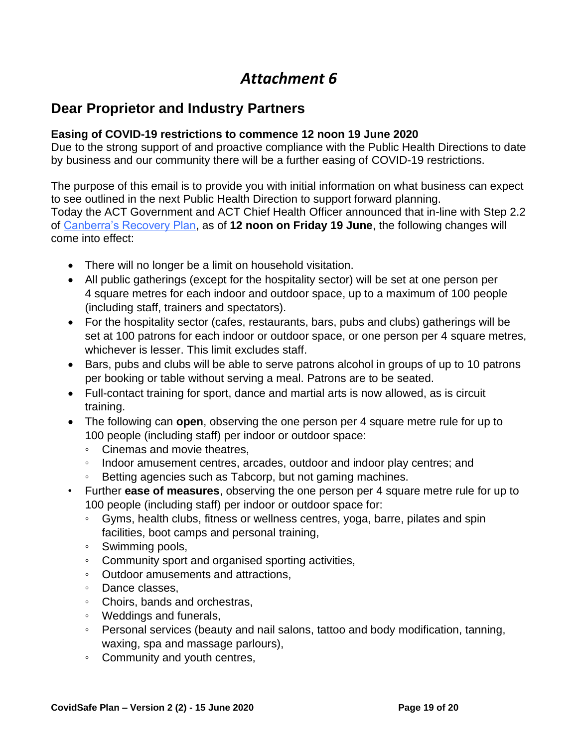### <span id="page-18-0"></span>**Dear Proprietor and Industry Partners**

#### **Easing of COVID-19 restrictions to commence 12 noon 19 June 2020**

Due to the strong support of and proactive compliance with the Public Health Directions to date by business and our community there will be a further easing of COVID-19 restrictions.

The purpose of this email is to provide you with initial information on what business can expect to see outlined in the next Public Health Direction to support forward planning. Today the ACT Government and ACT Chief Health Officer announced that in-line with Step 2.2 of [Canberra's Recovery Plan,](https://www.covid19.act.gov.au/resources/canberra-recovery-plan) as of **12 noon on Friday 19 June**, the following changes will come into effect:

- There will no longer be a limit on household visitation.
- All public gatherings (except for the hospitality sector) will be set at one person per 4 square metres for each indoor and outdoor space, up to a maximum of 100 people (including staff, trainers and spectators).
- For the hospitality sector (cafes, restaurants, bars, pubs and clubs) gatherings will be set at 100 patrons for each indoor or outdoor space, or one person per 4 square metres, whichever is lesser. This limit excludes staff.
- Bars, pubs and clubs will be able to serve patrons alcohol in groups of up to 10 patrons per booking or table without serving a meal. Patrons are to be seated.
- Full-contact training for sport, dance and martial arts is now allowed, as is circuit training.
- The following can **open**, observing the one person per 4 square metre rule for up to 100 people (including staff) per indoor or outdoor space:
	- Cinemas and movie theatres,
	- Indoor amusement centres, arcades, outdoor and indoor play centres; and
	- Betting agencies such as Tabcorp, but not gaming machines.
- Further **ease of measures**, observing the one person per 4 square metre rule for up to 100 people (including staff) per indoor or outdoor space for:
	- Gyms, health clubs, fitness or wellness centres, yoga, barre, pilates and spin facilities, boot camps and personal training,
	- Swimming pools,
	- Community sport and organised sporting activities,
	- Outdoor amusements and attractions,
	- Dance classes,
	- Choirs, bands and orchestras,
	- Weddings and funerals,
	- Personal services (beauty and nail salons, tattoo and body modification, tanning, waxing, spa and massage parlours),
	- Community and youth centres,